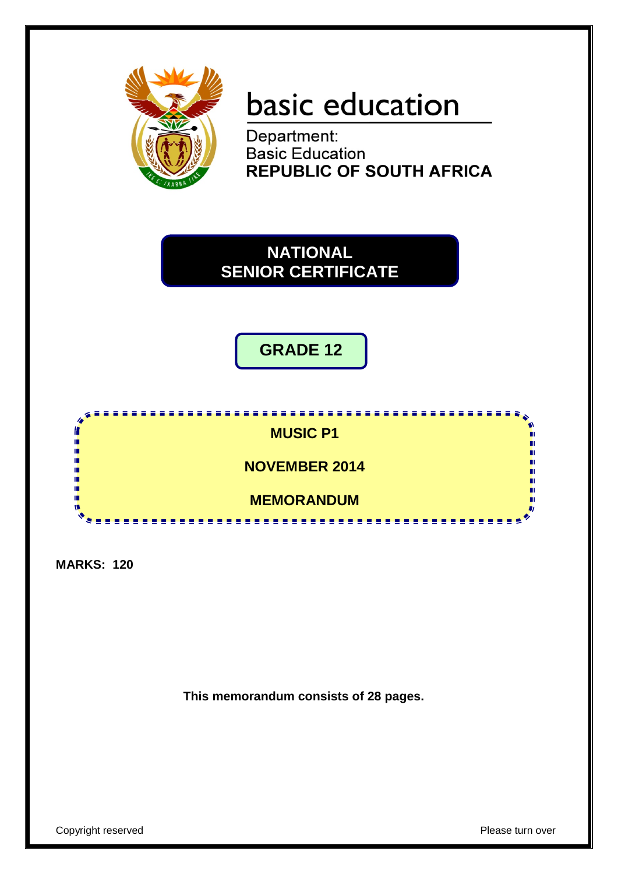

# basic education

**Department:<br>Basic Education REPUBLIC OF SOUTH AFRICA** 

**NATIONAL SENIOR CERTIFICATE**

**GRADE 12**



**MARKS: 120**

**This memorandum consists of 28 pages.**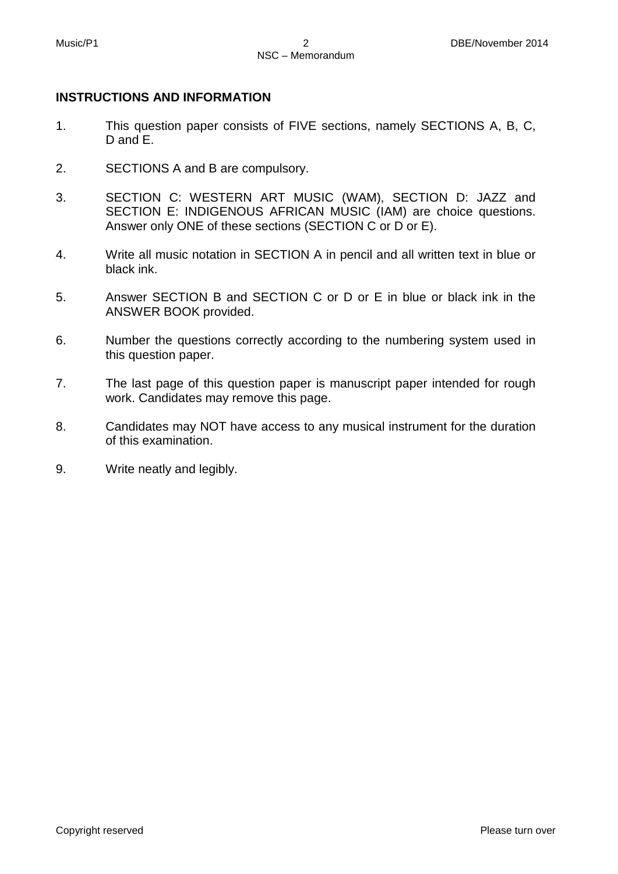#### **INSTRUCTIONS AND INFORMATION**

- 1. This question paper consists of FIVE sections, namely SECTIONS A, B, C, D and E.
- 2. SECTIONS A and B are compulsory.
- 3. SECTION C: WESTERN ART MUSIC (WAM), SECTION D: JAZZ and SECTION E: INDIGENOUS AFRICAN MUSIC (IAM) are choice questions. Answer only ONE of these sections (SECTION C or D or E).
- 4. Write all music notation in SECTION A in pencil and all written text in blue or black ink.
- 5. Answer SECTION B and SECTION C or D or E in blue or black ink in the ANSWER BOOK provided.
- 6. Number the questions correctly according to the numbering system used in this question paper.
- 7. The last page of this question paper is manuscript paper intended for rough work. Candidates may remove this page.
- 8. Candidates may NOT have access to any musical instrument for the duration of this examination.
- 9. Write neatly and legibly.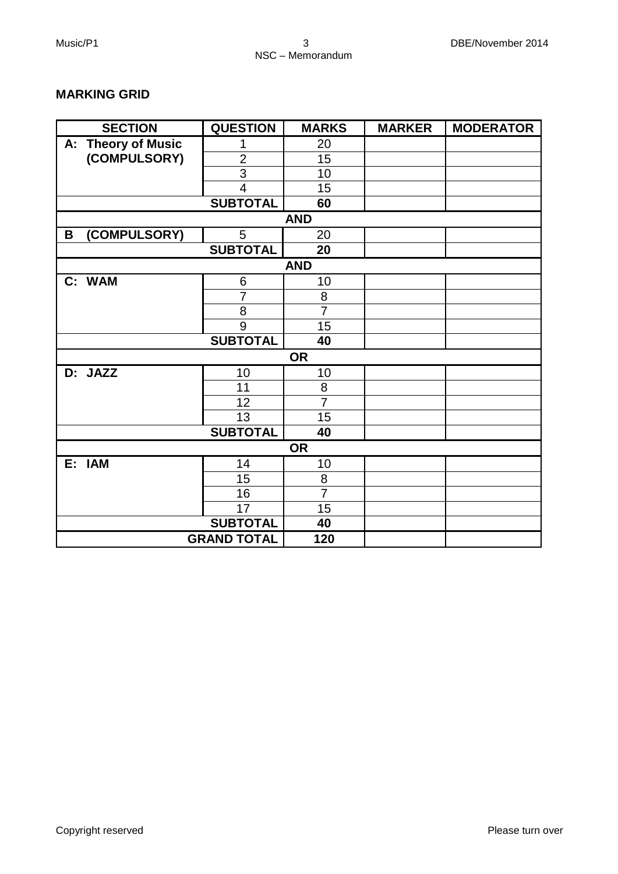#### **MARKING GRID**

| <b>SECTION</b>               | <b>QUESTION</b>    | <b>MARKS</b>   | <b>MARKER</b> | <b>MODERATOR</b> |
|------------------------------|--------------------|----------------|---------------|------------------|
| <b>Theory of Music</b><br>А: | 1                  | 20             |               |                  |
| (COMPULSORY)                 | $\overline{2}$     | 15             |               |                  |
|                              | 3                  | 10             |               |                  |
|                              | $\overline{4}$     | 15             |               |                  |
|                              | <b>SUBTOTAL</b>    | 60             |               |                  |
|                              |                    | <b>AND</b>     |               |                  |
| (COMPULSORY)<br>B            | 5                  | 20             |               |                  |
|                              | <b>SUBTOTAL</b>    | 20             |               |                  |
|                              |                    | <b>AND</b>     |               |                  |
| C: WAM                       | 6                  | 10             |               |                  |
|                              | $\overline{7}$     | 8              |               |                  |
|                              | 8                  | $\overline{7}$ |               |                  |
|                              | 9                  | 15             |               |                  |
|                              | <b>SUBTOTAL</b>    | 40             |               |                  |
|                              |                    | <b>OR</b>      |               |                  |
| D: JAZZ                      | 10                 | 10             |               |                  |
|                              | 11                 | 8              |               |                  |
|                              | 12                 | $\overline{7}$ |               |                  |
|                              | 13                 | 15             |               |                  |
|                              | <b>SUBTOTAL</b>    | 40             |               |                  |
|                              |                    | <b>OR</b>      |               |                  |
| E: IAM                       | 14                 | 10             |               |                  |
|                              | 15                 | 8              |               |                  |
|                              | 16                 | $\overline{7}$ |               |                  |
|                              | 17                 | 15             |               |                  |
|                              | <b>SUBTOTAL</b>    | 40             |               |                  |
|                              | <b>GRAND TOTAL</b> | 120            |               |                  |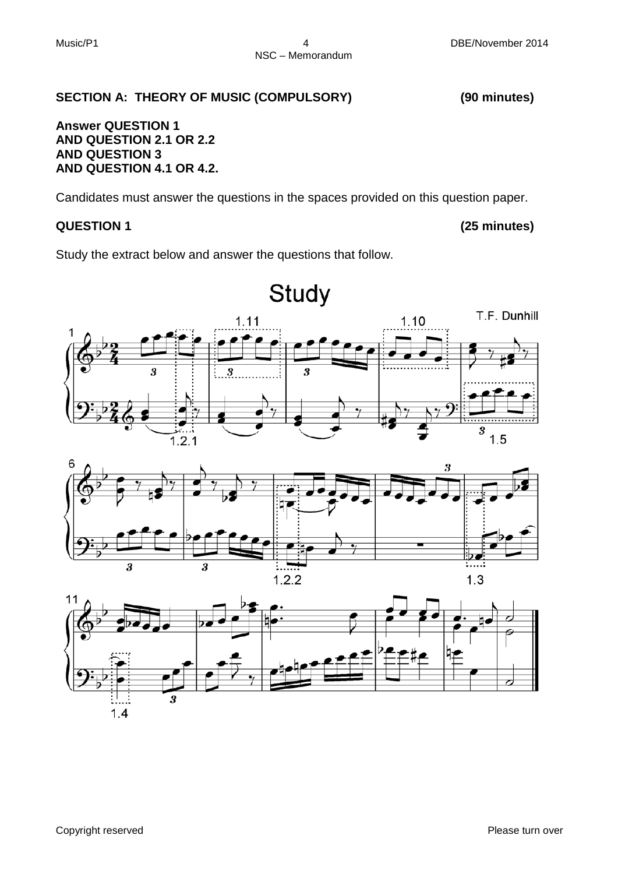#### **SECTION A: THEORY OF MUSIC (COMPULSORY) (90 minutes)**

#### **Answer QUESTION 1 AND QUESTION 2.1 OR 2.2 AND QUESTION 3 AND QUESTION 4.1 OR 4.2.**

Candidates must answer the questions in the spaces provided on this question paper.

#### **QUESTION 1 (25 minutes)**

Study the extract below and answer the questions that follow.





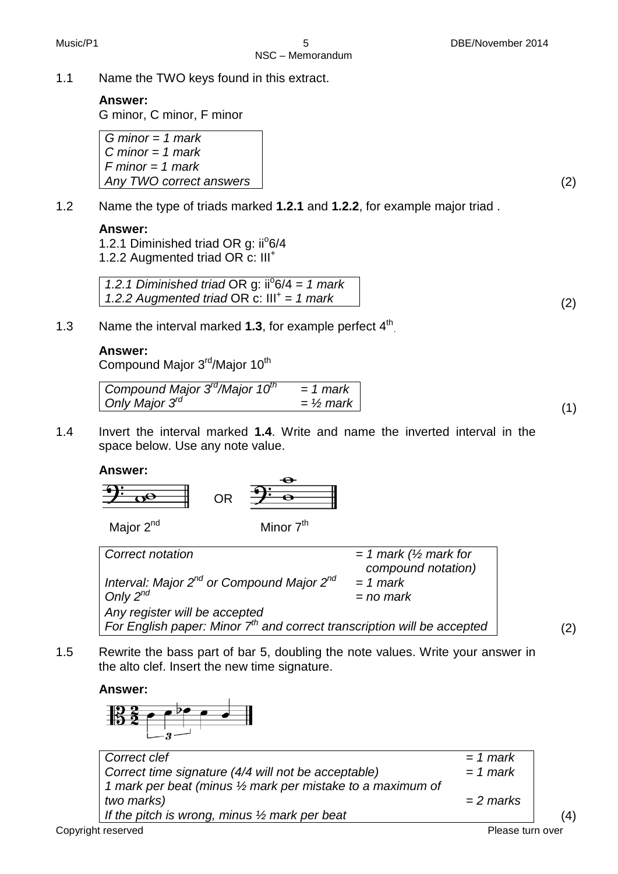#### **Answer:**

G minor, C minor, F minor

*G minor = 1 mark C minor = 1 mark F minor = 1 mark Any TWO correct answers* (2)

1.2 Name the type of triads marked **1.2.1** and **1.2.2**, for example major triad .

#### **Answer:**

1.2.1 Diminished triad OR g: ii<sup>o</sup>6/4 1.2.2 Augmented triad OR c: III+

1.2.1 Diminished triad OR g: ii<sup>o</sup> 6/4 = 1 mark *1.2.2 Augmented triad* OR c:  $III^+ = 1$  mark (2)

1.3 Name the interval marked **1.3**, for example perfect 4th.

#### **Answer:**

Compound Major 3<sup>rd</sup>/Major 10<sup>th</sup>

Compound Major 
$$
3^{rd}/\text{Major } 10^{th} = 1
$$
 mark

\nOnly Major  $3^{rd}$ 

\n $= \frac{1}{2} \text{ mark}$ 

\n(1)

1.4 Invert the interval marked **1.4**. Write and name the inverted interval in the space below. Use any note value.

#### **Answer:**

$$
\frac{2.00}{2.00}
$$
 OR  $\frac{2.00}{2.00}$ 

Major  $2^{nd}$  Minor  $7^{th}$ 

| Correct notation                                                                                           | $= 1$ mark ( $\frac{1}{2}$ mark for<br>compound notation) |     |
|------------------------------------------------------------------------------------------------------------|-----------------------------------------------------------|-----|
| Interval: Major 2 <sup>nd</sup> or Compound Major 2 <sup>nd</sup><br>Only $2^{nd}$                         | $= 1$ mark<br>$=$ no mark                                 |     |
| Any register will be accepted<br>For English paper: Minor $7th$ and correct transcription will be accepted |                                                           | (2) |

1.5 Rewrite the bass part of bar 5, doubling the note values. Write your answer in the alto clef. Insert the new time signature.

**Answer:**



| Correct clef                                                | $= 1$ mark       |     |
|-------------------------------------------------------------|------------------|-----|
| Correct time signature (4/4 will not be acceptable)         | $= 1$ mark       |     |
| 1 mark per beat (minus 1/2 mark per mistake to a maximum of |                  |     |
| two marks)                                                  | $= 2$ marks      |     |
| If the pitch is wrong, minus $\frac{1}{2}$ mark per beat    |                  | (4) |
| Copyright reserved                                          | Please turn over |     |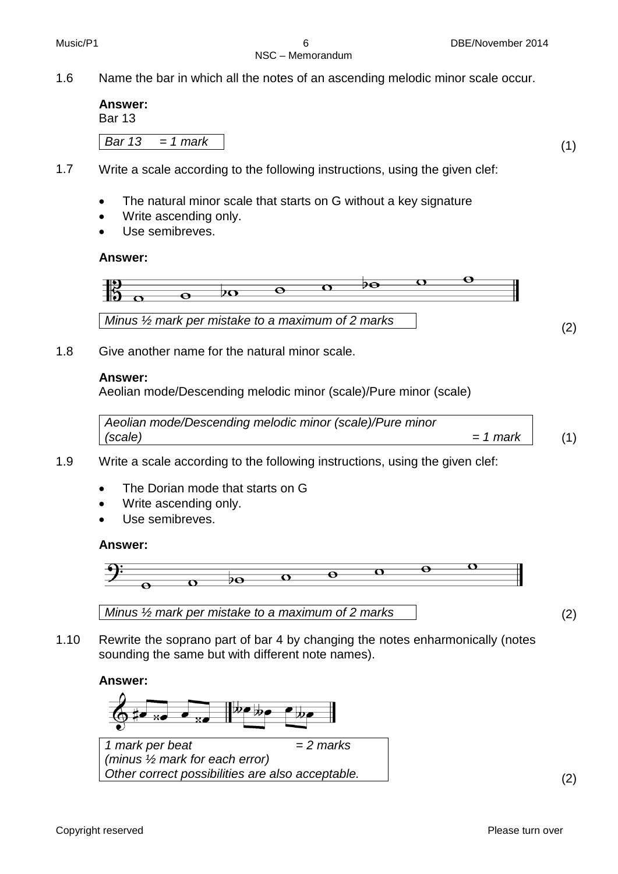#### NSC – Memorandum

1.6 Name the bar in which all the notes of an ascending melodic minor scale occur.

| <b>Answer:</b><br><b>Bar 13</b> |                         |  |
|---------------------------------|-------------------------|--|
|                                 | $\vert$ Bar 13 = 1 mark |  |

- 1.7 Write a scale according to the following instructions, using the given clef:
	- The natural minor scale that starts on G without a key signature
	- Write ascending only.
	- Use semibreves.

#### **Answer:**



1.8 Give another name for the natural minor scale.

#### **Answer:**

Aeolian mode/Descending melodic minor (scale)/Pure minor (scale)

| Aeolian mode/Descending melodic minor (scale)/Pure minor |          |  |
|----------------------------------------------------------|----------|--|
| (scale)                                                  | = 1 mark |  |

- 1.9 Write a scale according to the following instructions, using the given clef:
	- The Dorian mode that starts on G
	- Write ascending only.
	- Use semibreves.

#### **Answer:**





1.10 Rewrite the soprano part of bar 4 by changing the notes enharmonically (notes sounding the same but with different note names).

#### **Answer:**



*1 mark per beat (minus ½ mark for each error) = 2 marks Other correct possibilities are also acceptable.* (2)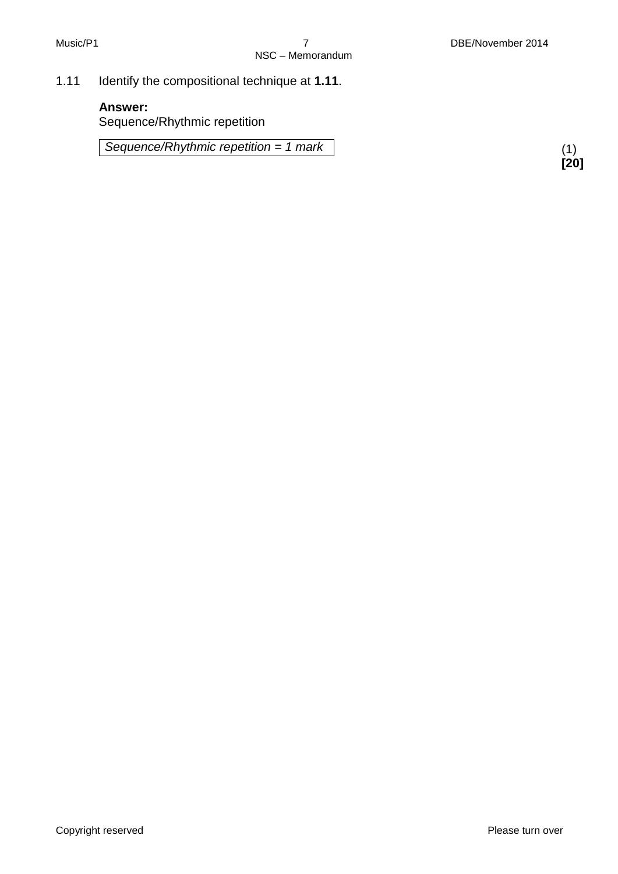1.11 Identify the compositional technique at **1.11**.

#### **Answer:**

Sequence/Rhythmic repetition

*Sequence/Rhythmic repetition = 1 mark*

(1) **[20]**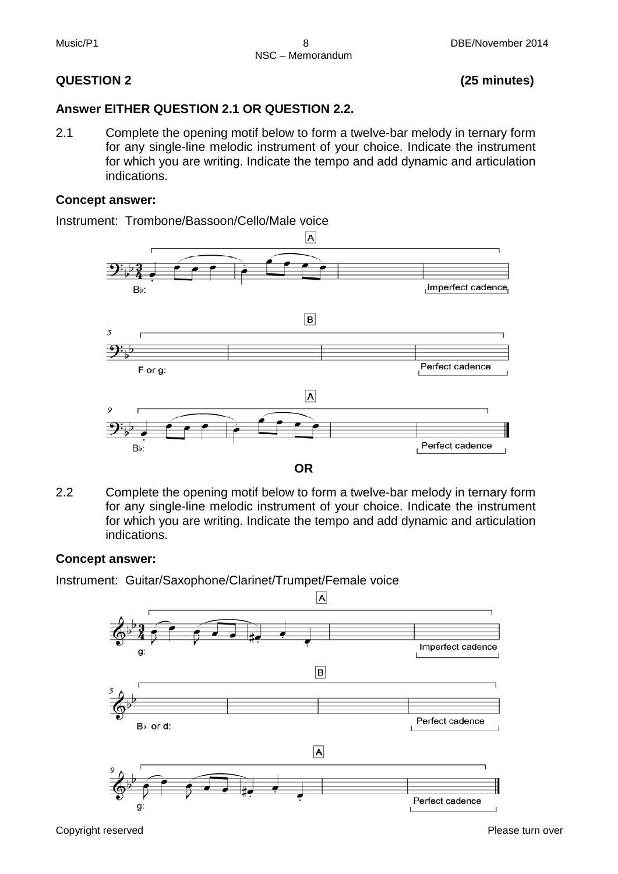#### **QUESTION 2 (25 minutes)**

#### **Answer EITHER QUESTION 2.1 OR QUESTION 2.2.**

2.1 Complete the opening motif below to form a twelve-bar melody in ternary form for any single-line melodic instrument of your choice. Indicate the instrument for which you are writing. Indicate the tempo and add dynamic and articulation indications.

#### **Concept answer:**

Instrument: Trombone/Bassoon/Cello/Male voice



2.2 Complete the opening motif below to form a twelve-bar melody in ternary form for any single-line melodic instrument of your choice. Indicate the instrument for which you are writing. Indicate the tempo and add dynamic and articulation indications.

#### **Concept answer:**

Instrument: Guitar/Saxophone/Clarinet/Trumpet/Female voice



Copyright reserved **Please turn over the Copyright reserved** Please turn over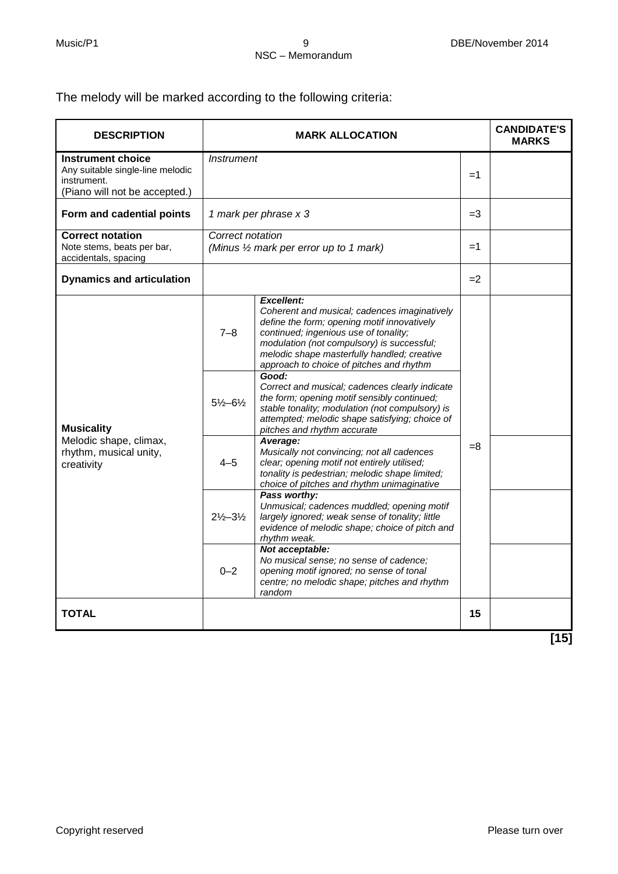The melody will be marked according to the following criteria:

| <b>DESCRIPTION</b>                                                                                    |                               | <b>MARK ALLOCATION</b>                                                                                                                                                                                                                                                                             |      | <b>CANDIDATE'S</b><br><b>MARKS</b> |
|-------------------------------------------------------------------------------------------------------|-------------------------------|----------------------------------------------------------------------------------------------------------------------------------------------------------------------------------------------------------------------------------------------------------------------------------------------------|------|------------------------------------|
| Instrument choice<br>Any suitable single-line melodic<br>instrument.<br>(Piano will not be accepted.) | <i><b>Instrument</b></i>      |                                                                                                                                                                                                                                                                                                    | $=1$ |                                    |
| Form and cadential points                                                                             | 1 mark per phrase x 3         |                                                                                                                                                                                                                                                                                                    | $=3$ |                                    |
| <b>Correct notation</b><br>Note stems, beats per bar,<br>accidentals, spacing                         | Correct notation              | (Minus 1/2 mark per error up to 1 mark)                                                                                                                                                                                                                                                            | $=1$ |                                    |
| <b>Dynamics and articulation</b>                                                                      |                               |                                                                                                                                                                                                                                                                                                    | $=2$ |                                    |
|                                                                                                       | $7 - 8$                       | <b>Excellent:</b><br>Coherent and musical; cadences imaginatively<br>define the form; opening motif innovatively<br>continued; ingenious use of tonality;<br>modulation (not compulsory) is successful;<br>melodic shape masterfully handled; creative<br>approach to choice of pitches and rhythm |      |                                    |
| <b>Musicality</b>                                                                                     | $5\frac{1}{2} - 6\frac{1}{2}$ | Good:<br>Correct and musical; cadences clearly indicate<br>the form; opening motif sensibly continued;<br>stable tonality; modulation (not compulsory) is<br>attempted; melodic shape satisfying; choice of<br>pitches and rhythm accurate                                                         |      |                                    |
| Melodic shape, climax,<br>rhythm, musical unity,<br>creativity                                        | $4 - 5$                       | Average:<br>Musically not convincing; not all cadences<br>clear; opening motif not entirely utilised;<br>tonality is pedestrian; melodic shape limited;<br>choice of pitches and rhythm unimaginative                                                                                              | $=8$ |                                    |
|                                                                                                       | $2\frac{1}{2} - 3\frac{1}{2}$ | Pass worthy:<br>Unmusical; cadences muddled; opening motif<br>largely ignored; weak sense of tonality; little<br>evidence of melodic shape; choice of pitch and<br>rhythm weak.                                                                                                                    |      |                                    |
|                                                                                                       | $0 - 2$                       | Not acceptable:<br>No musical sense; no sense of cadence;<br>opening motif ignored; no sense of tonal<br>centre; no melodic shape; pitches and rhythm<br>random                                                                                                                                    |      |                                    |
| <b>TOTAL</b>                                                                                          |                               |                                                                                                                                                                                                                                                                                                    | 15   |                                    |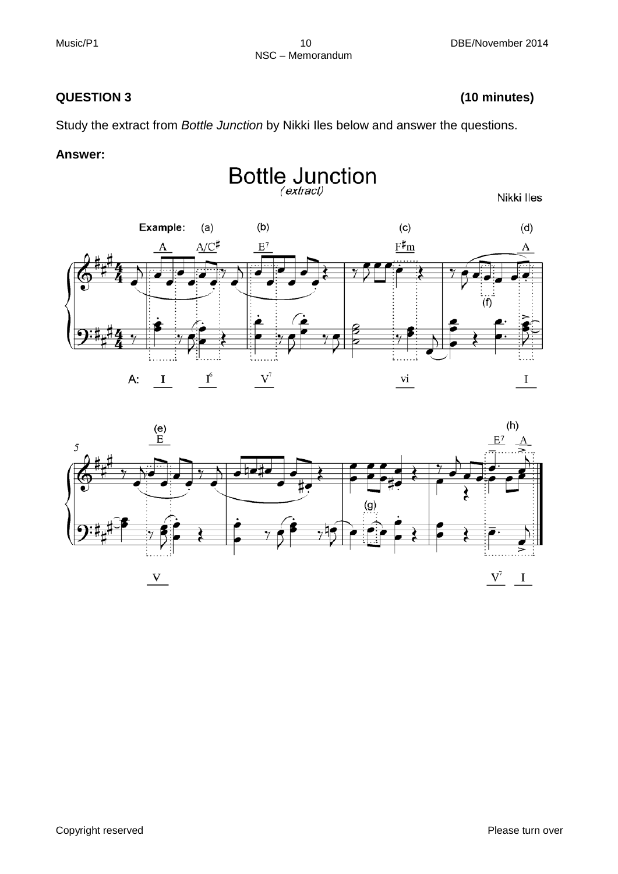#### **QUESTION 3 (10 minutes)**

Study the extract from *Bottle Junction* by Nikki Iles below and answer the questions.

#### **Answer:**



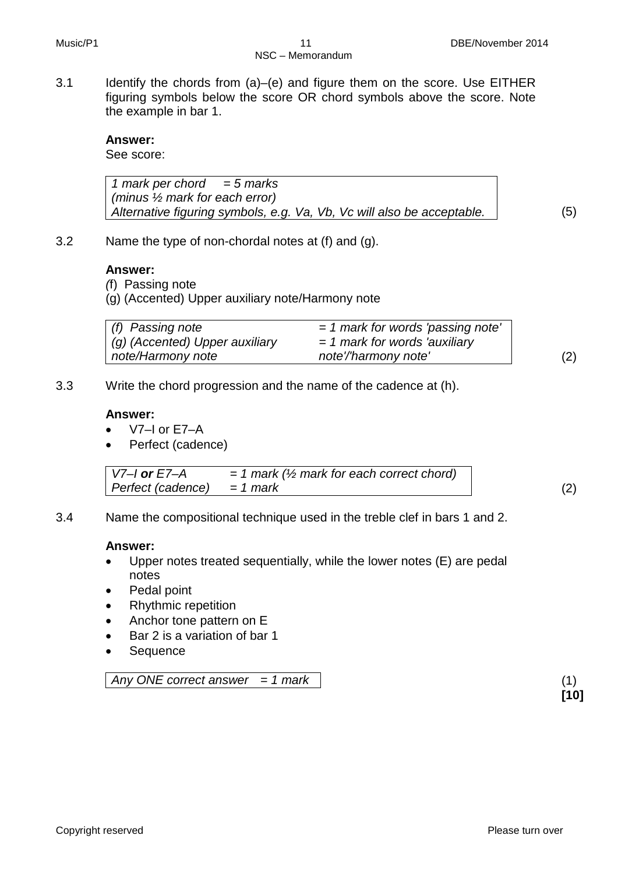3.1 Identify the chords from (a)–(e) and figure them on the score. Use EITHER figuring symbols below the score OR chord symbols above the score. Note the example in bar 1.

#### **Answer:**

See score:

*1 mark per chord = 5 marks (minus ½ mark for each error) Alternative figuring symbols, e.g. Va, Vb, Vc will also be acceptable.* (5)

3.2 Name the type of non-chordal notes at (f) and (g).

#### **Answer:**

*(*f) Passing note

(g) (Accented) Upper auxiliary note/Harmony note

| (f) Passing note               | $=$ 1 mark for words 'passing note' |     |
|--------------------------------|-------------------------------------|-----|
| (g) (Accented) Upper auxiliary | $=$ 1 mark for words 'auxiliary     |     |
| note/Harmony note              | note'/'harmony note'                | (2) |

3.3 Write the chord progression and the name of the cadence at (h).

#### **Answer:**

- $\bullet$  V7–I or F7–A
- Perfect (cadence)

*V7–I or E7–A = 1 mark (½ mark for each correct chord) Perfect (cadence) = 1 mark* (2)

**[10]**

3.4 Name the compositional technique used in the treble clef in bars 1 and 2.

#### **Answer:**

- Upper notes treated sequentially, while the lower notes (E) are pedal notes
- Pedal point
- Rhythmic repetition
- Anchor tone pattern on E
- Bar 2 is a variation of bar 1
- Sequence

*Any ONE correct answer = 1 mark* (1)

Copyright reserved **Please turn over the Copyright reserved** Please turn over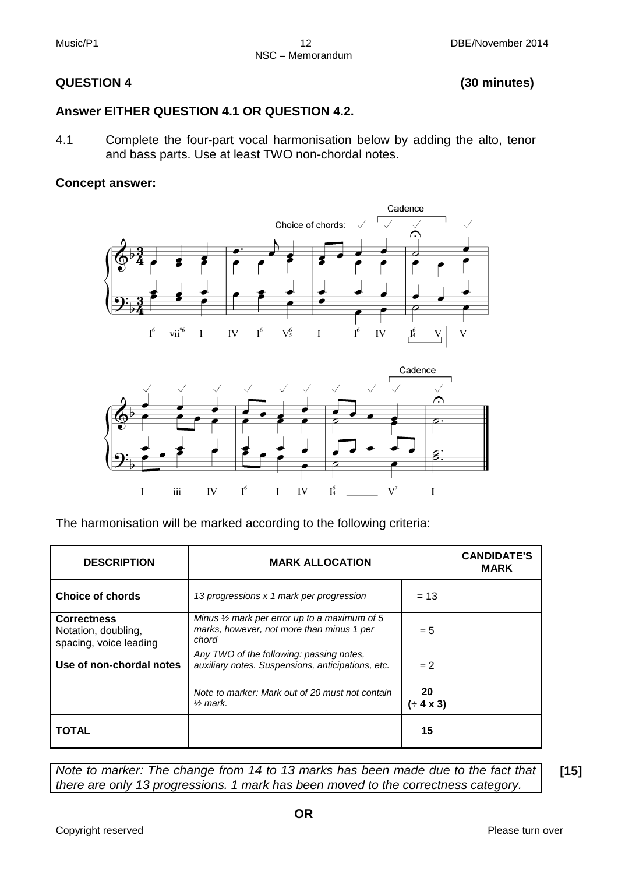#### **QUESTION 4 (30 minutes)**

#### **Answer EITHER QUESTION 4.1 OR QUESTION 4.2.**

4.1 Complete the four-part vocal harmonisation below by adding the alto, tenor and bass parts. Use at least TWO non-chordal notes.

#### **Concept answer:**





The harmonisation will be marked according to the following criteria:

| <b>DESCRIPTION</b>                                                  | <b>MARK ALLOCATION</b>                                                                                        |                   | <b>CANDIDATE'S</b><br><b>MARK</b> |
|---------------------------------------------------------------------|---------------------------------------------------------------------------------------------------------------|-------------------|-----------------------------------|
| <b>Choice of chords</b>                                             | 13 progressions x 1 mark per progression                                                                      | $= 13$            |                                   |
| <b>Correctness</b><br>Notation, doubling,<br>spacing, voice leading | Minus $\frac{1}{2}$ mark per error up to a maximum of 5<br>marks, however, not more than minus 1 per<br>chord | $= 5$             |                                   |
| Use of non-chordal notes                                            | Any TWO of the following: passing notes,<br>auxiliary notes. Suspensions, anticipations, etc.                 | $= 2$             |                                   |
|                                                                     | Note to marker: Mark out of 20 must not contain<br>$\frac{1}{2}$ mark.                                        | 20<br>$(+ 4 x 3)$ |                                   |
| <b>TOTAL</b>                                                        |                                                                                                               | 15                |                                   |

*Note to marker: The change from 14 to 13 marks has been made due to the fact that there are only 13 progressions. 1 mark has been moved to the correctness category.*

**[15]**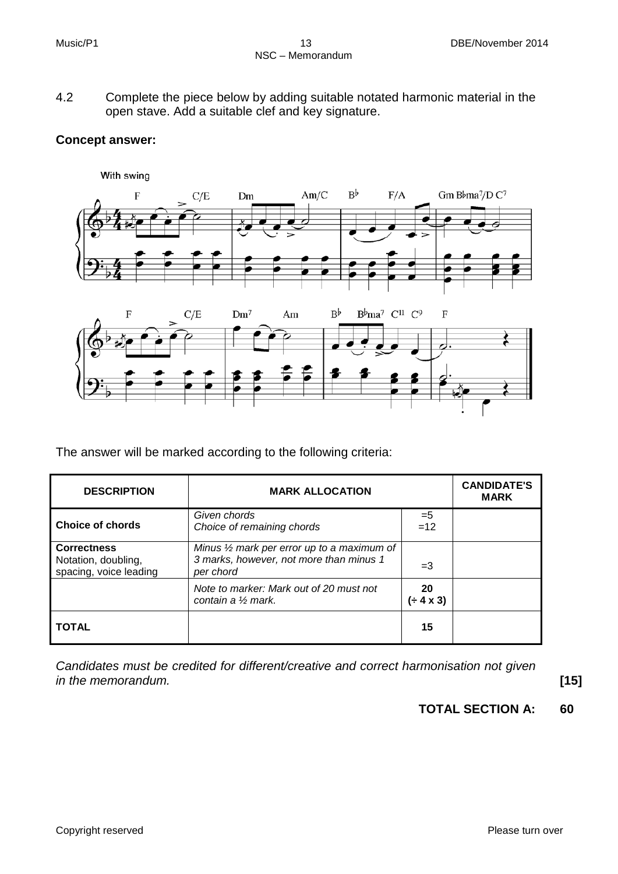4.2 Complete the piece below by adding suitable notated harmonic material in the open stave. Add a suitable clef and key signature.

#### **Concept answer:**



The answer will be marked according to the following criteria:

| <b>DESCRIPTION</b>                                                  | <b>MARK ALLOCATION</b>                                                                                        |                          | <b>CANDIDATE'S</b><br><b>MARK</b> |
|---------------------------------------------------------------------|---------------------------------------------------------------------------------------------------------------|--------------------------|-----------------------------------|
| Choice of chords                                                    | Given chords<br>Choice of remaining chords                                                                    | $=5$<br>$=12$            |                                   |
| <b>Correctness</b><br>Notation, doubling,<br>spacing, voice leading | Minus $\frac{1}{2}$ mark per error up to a maximum of<br>3 marks, however, not more than minus 1<br>per chord | $=$ 3                    |                                   |
|                                                                     | Note to marker: Mark out of 20 must not<br>contain a $\frac{1}{2}$ mark.                                      | <b>20</b><br>$(+ 4 x 3)$ |                                   |
| <b>TOTAL</b>                                                        |                                                                                                               | 15                       |                                   |

*Candidates must be credited for different/creative and correct harmonisation not given in the memorandum.* **[15]**

**TOTAL SECTION A: 60**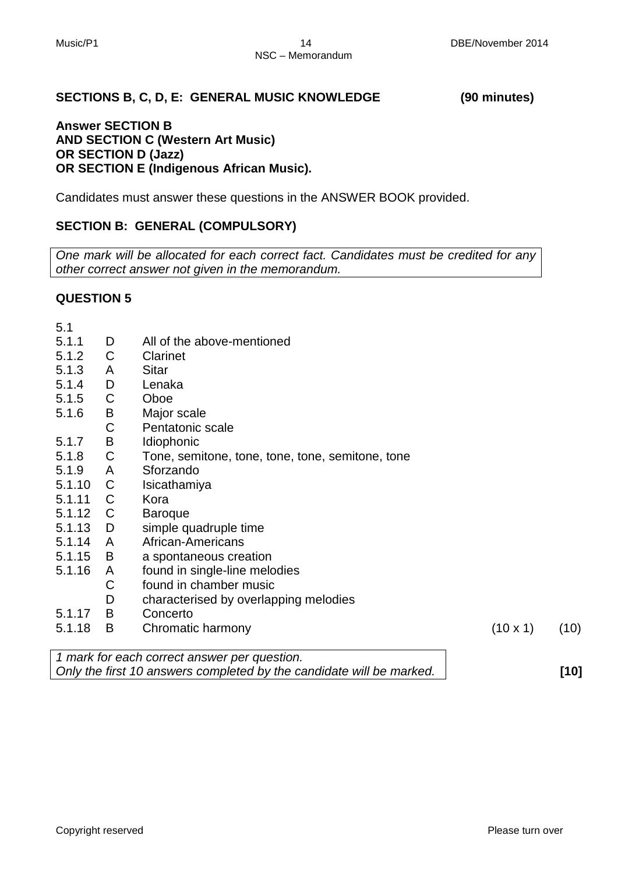#### **SECTIONS B, C, D, E: GENERAL MUSIC KNOWLEDGE (90 minutes)**

#### **Answer SECTION B AND SECTION C (Western Art Music) OR SECTION D (Jazz) OR SECTION E (Indigenous African Music).**

Candidates must answer these questions in the ANSWER BOOK provided.

#### **SECTION B: GENERAL (COMPULSORY)**

*One mark will be allocated for each correct fact. Candidates must be credited for any other correct answer not given in the memorandum.*

#### **QUESTION 5**

| 5.1    |              |                                                                      |                 |      |
|--------|--------------|----------------------------------------------------------------------|-----------------|------|
| 5.1.1  | D            | All of the above-mentioned                                           |                 |      |
| 5.1.2  | $\mathsf C$  | Clarinet                                                             |                 |      |
| 5.1.3  | A            | Sitar                                                                |                 |      |
| 5.1.4  | D            | Lenaka                                                               |                 |      |
| 5.1.5  | $\mathsf C$  | Oboe                                                                 |                 |      |
| 5.1.6  | B            | Major scale                                                          |                 |      |
|        | C            | Pentatonic scale                                                     |                 |      |
| 5.1.7  | B            | Idiophonic                                                           |                 |      |
| 5.1.8  | $\mathsf C$  | Tone, semitone, tone, tone, tone, semitone, tone                     |                 |      |
| 5.1.9  | A            | Sforzando                                                            |                 |      |
| 5.1.10 | $\mathsf{C}$ | Isicathamiya                                                         |                 |      |
| 5.1.11 | C            | Kora                                                                 |                 |      |
| 5.1.12 | C            | <b>Baroque</b>                                                       |                 |      |
| 5.1.13 | D            | simple quadruple time                                                |                 |      |
| 5.1.14 | A            | African-Americans                                                    |                 |      |
| 5.1.15 | B            | a spontaneous creation                                               |                 |      |
| 5.1.16 | A            | found in single-line melodies                                        |                 |      |
|        | C            | found in chamber music                                               |                 |      |
|        | D            | characterised by overlapping melodies                                |                 |      |
| 5.1.17 | B            | Concerto                                                             |                 |      |
| 5.1.18 | B            | Chromatic harmony                                                    | $(10 \times 1)$ | (10) |
|        |              | 1 mark for each correct answer per question.                         |                 |      |
|        |              | Only the first 10 answers completed by the candidate will be marked. |                 | [10] |
|        |              |                                                                      |                 |      |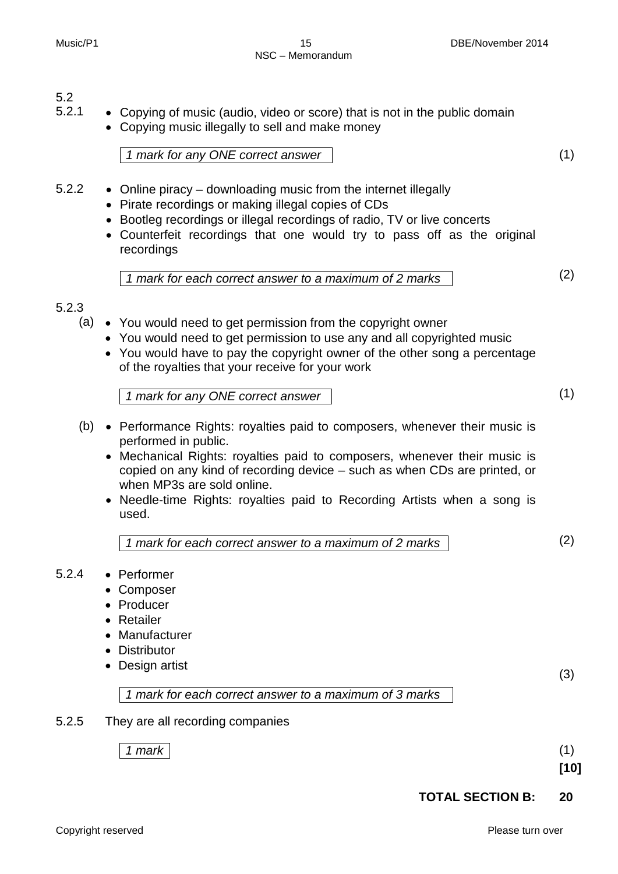## $5.2$ <br> $5.2.1$

- Copying of music (audio, video or score) that is not in the public domain
	- Copying music illegally to sell and make money

*1 mark for any ONE correct answer* (1)

- 5.2.2 Online piracy downloading music from the internet illegally
	- Pirate recordings or making illegal copies of CDs
	- Bootleg recordings or illegal recordings of radio, TV or live concerts
	- Counterfeit recordings that one would try to pass off as the original recordings

*1 mark for each correct answer to a maximum of 2 marks* (2)

#### 5.2.3

- (a) You would need to get permission from the copyright owner
	- You would need to get permission to use any and all copyrighted music
	- You would have to pay the copyright owner of the other song a percentage of the royalties that your receive for your work

*1 mark for any ONE correct answer* (1)

- (b) Performance Rights: royalties paid to composers, whenever their music is performed in public.
	- Mechanical Rights: royalties paid to composers, whenever their music is copied on any kind of recording device – such as when CDs are printed, or when MP3s are sold online.
	- Needle-time Rights: royalties paid to Recording Artists when a song is used.
		- *1 mark for each correct answer to a maximum of 2 marks* (2)

#### 5.2.4 • Performer

- Composer
- Producer
- Retailer
- Manufacturer
- Distributor
- Design artist

(3)

*1 mark for each correct answer to a maximum of 3 marks*

5.2.5 They are all recording companies

*1 mark* (1)

**[10]**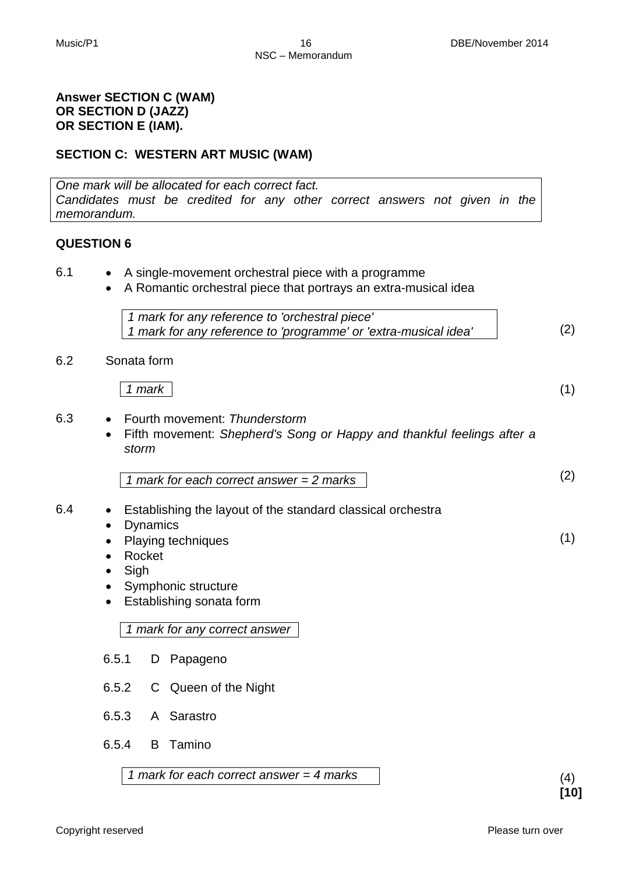#### **Answer SECTION C (WAM) OR SECTION D (JAZZ) OR SECTION E (IAM).**

#### **SECTION C: WESTERN ART MUSIC (WAM)**

*One mark will be allocated for each correct fact. Candidates must be credited for any other correct answers not given in the memorandum.*

#### **QUESTION 6**

- 6.1 A single-movement orchestral piece with a programme
	- A Romantic orchestral piece that portrays an extra-musical idea

| 1 mark for any reference to 'orchestral piece'                  |     |
|-----------------------------------------------------------------|-----|
| 1 mark for any reference to 'programme' or 'extra-musical idea' | (2) |

#### 6.2 Sonata form

*1 mark* (1)

- 6.3 Fourth movement: *Thunderstorm*
	- Fifth movement: *Shepherd's Song or Happy and thankful feelings after a storm*

$$
1 mark for each correct answer = 2 marks
$$
\n
$$
(2)
$$

- 6.4 Establishing the layout of the standard classical orchestra • Dynamics
	- Playing techniques
	- Rocket
	- Sigh
	- Symphonic structure
	- Establishing sonata form

*1 mark for any correct answer*

- 6.5.1 D Papageno
- 6.5.2 C Queen of the Night
- 6.5.3 A Sarastro
- 6.5.4 B Tamino

*1 mark for each correct answer = 4 marks* (4)

(1)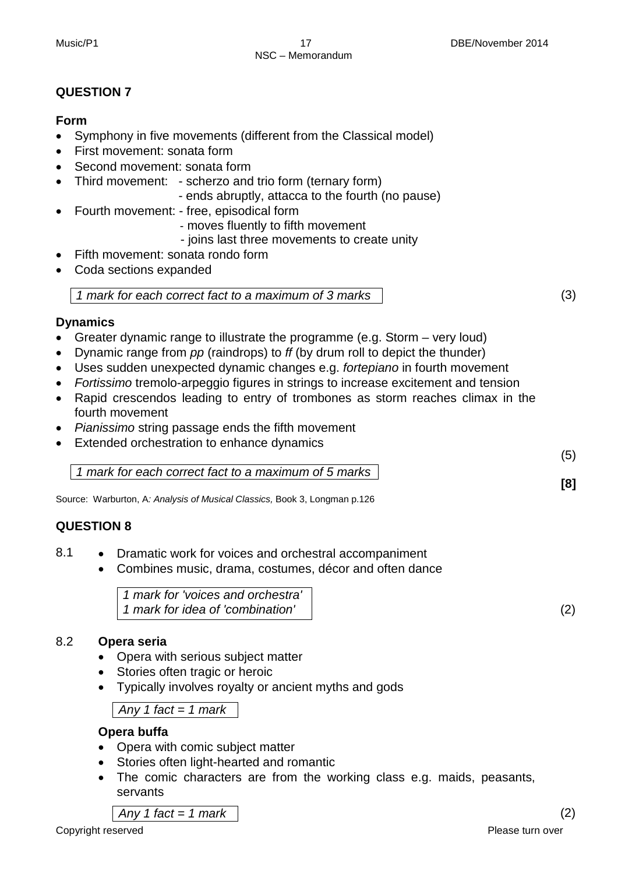#### **Form**

- Symphony in five movements (different from the Classical model)
- First movement: sonata form
- Second movement: sonata form
- Third movement: scherzo and trio form (ternary form)
	- ends abruptly, attacca to the fourth (no pause)
- Fourth movement: free, episodical form
	- moves fluently to fifth movement
	- joins last three movements to create unity
- Fifth movement: sonata rondo form
- Coda sections expanded

*1 mark for each correct fact to a maximum of 3 marks*

#### **Dynamics**

- Greater dynamic range to illustrate the programme (e.g. Storm very loud)
- Dynamic range from *pp* (raindrops) to *ff* (by drum roll to depict the thunder)
- Uses sudden unexpected dynamic changes e.g. *fortepiano* in fourth movement
- *Fortissimo* tremolo-arpeggio figures in strings to increase excitement and tension
- Rapid crescendos leading to entry of trombones as storm reaches climax in the fourth movement
- *Pianissimo* string passage ends the fifth movement
- Extended orchestration to enhance dynamics

*1 mark for each correct fact to a maximum of 5 marks*

Source: Warburton, A*: Analysis of Musical Classics,* Book 3, Longman p.126

#### **QUESTION 8**

- 8.1 Dramatic work for voices and orchestral accompaniment
	- Combines music, drama, costumes, décor and often dance

*1 mark for 'voices and orchestra' 1 mark for idea of 'combination'* (2)

#### 8.2 **Opera seria**

- Opera with serious subject matter
- Stories often tragic or heroic
- Typically involves royalty or ancient myths and gods

*Any 1 fact = 1 mark*

#### **Opera buffa**

- Opera with comic subject matter
- Stories often light-hearted and romantic
- The comic characters are from the working class e.g. maids, peasants, servants

*Any 1 fact = 1 mark* (2)

**[8]**

(5)

(3)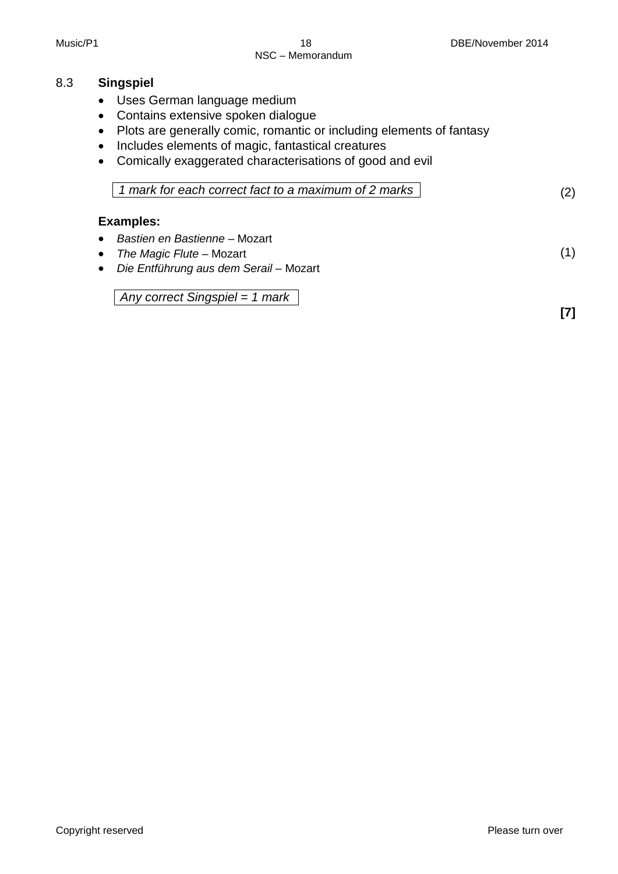#### 8.3 **Singspiel**

- Uses German language medium
- Contains extensive spoken dialogue
- Plots are generally comic, romantic or including elements of fantasy
- Includes elements of magic, fantastical creatures
- Comically exaggerated characterisations of good and evil

| 1 1 mark for each correct fact to a maximum of 2 marks 1 |  |
|----------------------------------------------------------|--|
|----------------------------------------------------------|--|

#### **Examples:**

- *Bastien en Bastienne* Mozart
- *The Magic Flute*  Mozart
- *Die Entführung aus dem Serail*  Mozart

*Any correct Singspiel = 1 mark*

**[7]**

(1)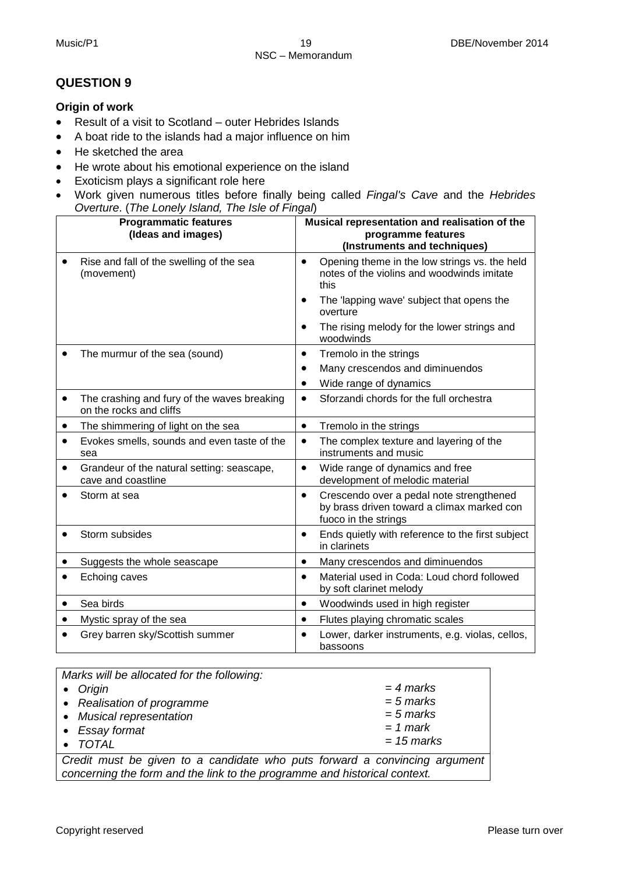#### **Origin of work**

- Result of a visit to Scotland outer Hebrides Islands
- A boat ride to the islands had a major influence on him
- He sketched the area
- He wrote about his emotional experience on the island
- Exoticism plays a significant role here
- Work given numerous titles before finally being called *Fingal's Cave* and the *Hebrides Overture*. (*The Lonely Island, The Isle of Fingal*)

|           | <b>Programmatic features</b><br>(Ideas and images)                     | Musical representation and realisation of the<br>programme features                                                         |
|-----------|------------------------------------------------------------------------|-----------------------------------------------------------------------------------------------------------------------------|
|           |                                                                        | (Instruments and techniques)                                                                                                |
| $\bullet$ | Rise and fall of the swelling of the sea<br>(movement)                 | Opening theme in the low strings vs. the held<br>$\bullet$<br>notes of the violins and woodwinds imitate<br>this            |
|           |                                                                        | The 'lapping wave' subject that opens the<br>$\bullet$<br>overture                                                          |
|           |                                                                        | The rising melody for the lower strings and<br>$\bullet$<br>woodwinds                                                       |
|           | The murmur of the sea (sound)                                          | Tremolo in the strings<br>$\bullet$                                                                                         |
|           |                                                                        | Many crescendos and diminuendos<br>$\bullet$                                                                                |
|           |                                                                        | Wide range of dynamics<br>$\bullet$                                                                                         |
| $\bullet$ | The crashing and fury of the waves breaking<br>on the rocks and cliffs | Sforzandi chords for the full orchestra<br>$\bullet$                                                                        |
| $\bullet$ | The shimmering of light on the sea                                     | Tremolo in the strings<br>$\bullet$                                                                                         |
| $\bullet$ | Evokes smells, sounds and even taste of the<br>sea                     | The complex texture and layering of the<br>$\bullet$<br>instruments and music                                               |
| $\bullet$ | Grandeur of the natural setting: seascape,<br>cave and coastline       | Wide range of dynamics and free<br>$\bullet$<br>development of melodic material                                             |
|           | Storm at sea                                                           | Crescendo over a pedal note strengthened<br>$\bullet$<br>by brass driven toward a climax marked con<br>fuoco in the strings |
|           | Storm subsides                                                         | Ends quietly with reference to the first subject<br>$\bullet$<br>in clarinets                                               |
|           | Suggests the whole seascape                                            | Many crescendos and diminuendos<br>$\bullet$                                                                                |
|           | Echoing caves                                                          | Material used in Coda: Loud chord followed<br>$\bullet$<br>by soft clarinet melody                                          |
| ٠         | Sea birds                                                              | Woodwinds used in high register<br>$\bullet$                                                                                |
|           | Mystic spray of the sea                                                | Flutes playing chromatic scales<br>$\bullet$                                                                                |
|           | Grey barren sky/Scottish summer                                        | Lower, darker instruments, e.g. violas, cellos,<br>$\bullet$<br>bassoons                                                    |

| Marks will be allocated for the following: |              |
|--------------------------------------------|--------------|
| • Origin                                   | $=$ 4 marks  |
| • Realisation of programme                 | $= 5$ marks  |
| • Musical representation                   | $= 5$ marks  |
| • Essay format                             | $= 1$ mark   |
| $\bullet$ TOTAL                            | $= 15$ marks |
|                                            |              |

*Credit must be given to a candidate who puts forward a convincing argument concerning the form and the link to the programme and historical context.*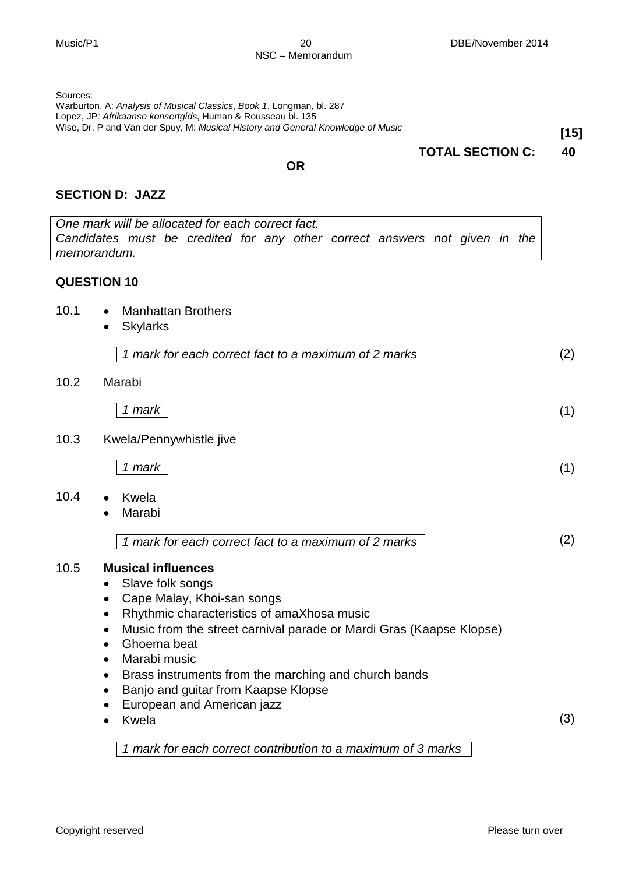Sources:

Warburton, A: *Analysis of Musical Classics*, *Book 1*, Longman, bl. 287 Lopez, JP*: Afrikaanse konsertgids*, Human & Rousseau bl. 135 Wise, Dr. P and Van der Spuy, M: *Musical History and General Knowledge of Music* **[15]**

#### **TOTAL SECTION C: 40**

#### **OR**

#### **SECTION D: JAZZ**

*One mark will be allocated for each correct fact. Candidates must be credited for any other correct answers not given in the memorandum.* **QUESTION 10** 10.1 • Manhattan Brothers • Skylarks *1 mark for each correct fact to a maximum of 2 marks* (2) 10.2 Marabi *1 mark* (1) 10.3 Kwela/Pennywhistle jive *1 mark* (1) 10.4 • Kwela • Marabi *1 mark for each correct fact to a maximum of 2 marks* (2) 10.5 **Musical influences** • Slave folk songs • Cape Malay, Khoi-san songs • Rhythmic characteristics of amaXhosa music • Music from the street carnival parade or Mardi Gras (Kaapse Klopse) • Ghoema beat • Marabi music • Brass instruments from the marching and church bands • Banjo and guitar from Kaapse Klopse • European and American jazz

*1 mark for each correct contribution to a maximum of 3 marks*

**Kwela** 

(3)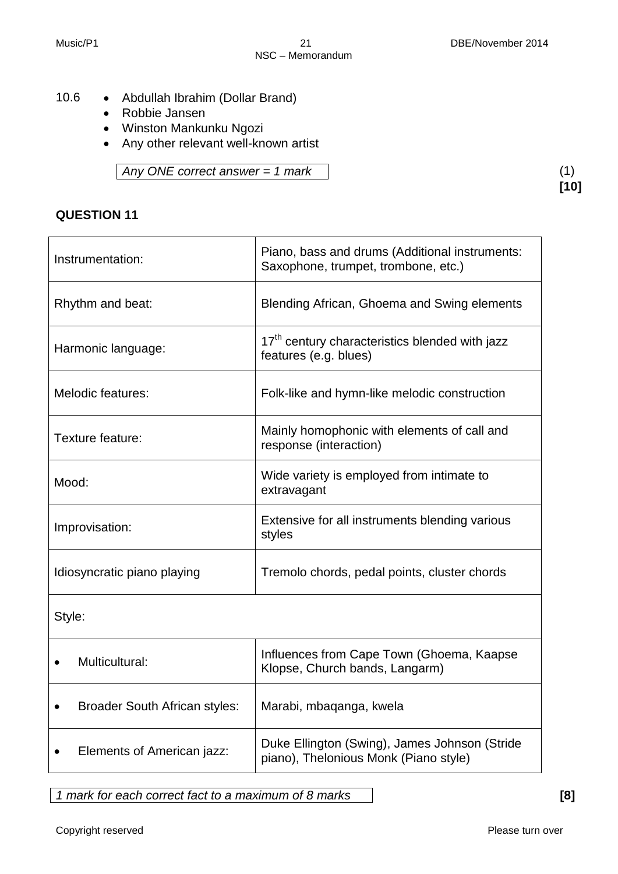**[10]**

- 10.6 Abdullah Ibrahim (Dollar Brand)
	- Robbie Jansen
	- Winston Mankunku Ngozi
	- Any other relevant well-known artist

*Any ONE correct answer = 1 mark* (1)

### **QUESTION 11**

| Instrumentation:                     | Piano, bass and drums (Additional instruments:<br>Saxophone, trumpet, trombone, etc.) |  |
|--------------------------------------|---------------------------------------------------------------------------------------|--|
| Rhythm and beat:                     | Blending African, Ghoema and Swing elements                                           |  |
| Harmonic language:                   | 17 <sup>th</sup> century characteristics blended with jazz<br>features (e.g. blues)   |  |
| Melodic features:                    | Folk-like and hymn-like melodic construction                                          |  |
| Texture feature:                     | Mainly homophonic with elements of call and<br>response (interaction)                 |  |
| Mood:                                | Wide variety is employed from intimate to<br>extravagant                              |  |
| Improvisation:                       | Extensive for all instruments blending various<br>styles                              |  |
| Idiosyncratic piano playing          | Tremolo chords, pedal points, cluster chords                                          |  |
| Style:                               |                                                                                       |  |
| Multicultural:                       | Influences from Cape Town (Ghoema, Kaapse<br>Klopse, Church bands, Langarm)           |  |
| <b>Broader South African styles:</b> | Marabi, mbaqanga, kwela                                                               |  |

• Elements of American jazz:  $\begin{bmatrix} \text{Duke Ellington (Swing), James Johnson (Stride) } \\ \text{niano)} \end{bmatrix}$ piano), Thelonious Monk (Piano style)

*1 mark for each correct fact to a maximum of 8 marks* **[8]**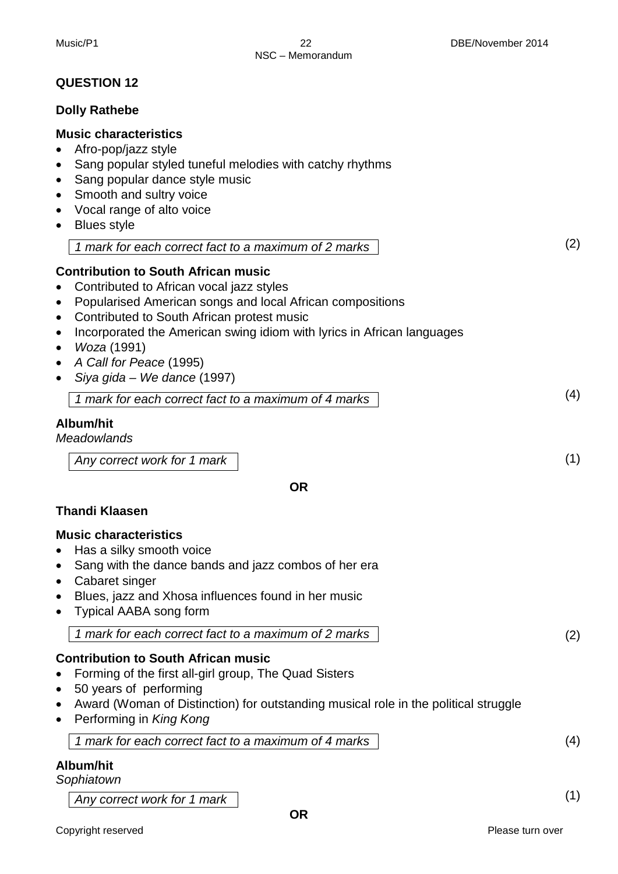#### **Dolly Rathebe**

#### **Music characteristics**

- Afro-pop/jazz style
- Sang popular styled tuneful melodies with catchy rhythms
- Sang popular dance style music
- Smooth and sultry voice
- Vocal range of alto voice
- Blues style

| 1 mark for each correct fact to a maximum of 2 marks |  |
|------------------------------------------------------|--|
|------------------------------------------------------|--|

#### **Contribution to South African music**

- Contributed to African vocal jazz styles
- Popularised American songs and local African compositions
- Contributed to South African protest music
- Incorporated the American swing idiom with lyrics in African languages
- *Woza* (1991)
- *A Call for Peace* (1995)
- *Siya gida – We dance* (1997)

| 1 mark for each correct fact to a maximum of 4 marks |  |
|------------------------------------------------------|--|

#### **Album/hit**

*Meadowlands*

*Any correct work for 1 mark*

**OR**

#### **Thandi Klaasen**

#### **Music characteristics**

- Has a silky smooth voice
- Sang with the dance bands and jazz combos of her era
- Cabaret singer
- Blues, jazz and Xhosa influences found in her music
- Typical AABA song form

*1 mark for each correct fact to a maximum of 2 marks* 

### **Contribution to South African music**

- Forming of the first all-girl group, The Quad Sisters
- 50 years of performing
- Award (Woman of Distinction) for outstanding musical role in the political struggle
- Performing in *King Kong*

*1 mark for each correct fact to a maximum of 4 marks*

### **Album/hit**

#### *Sophiatown*

*Any correct work for 1 mark*

(1)

(4)

(2)

(2)

(4)

(1)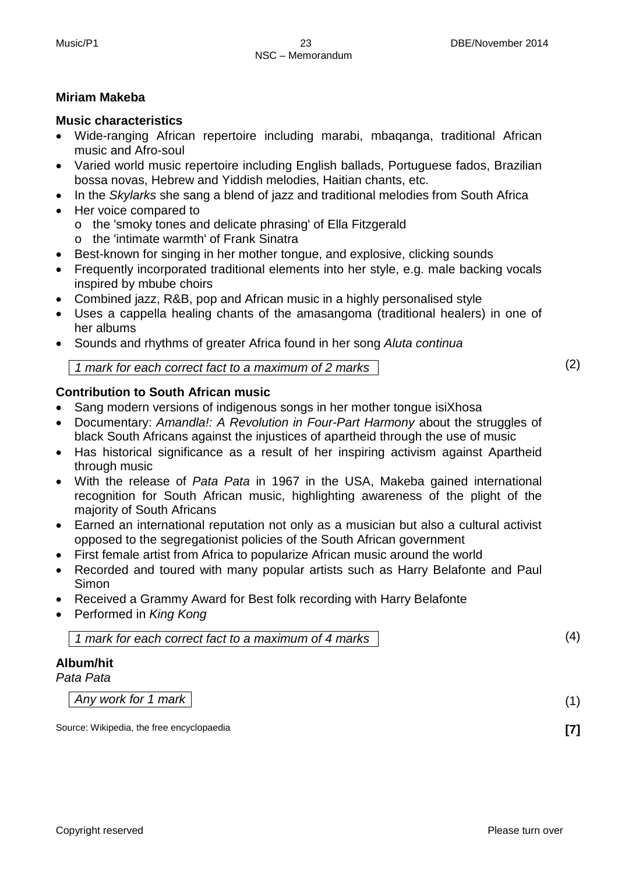#### **Miriam Makeba**

#### **Music characteristics**

- Wide-ranging African repertoire including marabi, mbaqanga, traditional African music and Afro-soul
- Varied world music repertoire including English ballads, Portuguese fados, Brazilian bossa novas, Hebrew and Yiddish melodies, Haitian chants, etc.
- In the *Skylarks* she sang a blend of jazz and traditional melodies from South Africa
- Her voice compared to
	- o the 'smoky tones and delicate phrasing' of Ella Fitzgerald
	- o the 'intimate warmth' of Frank Sinatra
- Best-known for singing in her mother tongue, and explosive, clicking sounds
- Frequently incorporated traditional elements into her style, e.g. male backing vocals inspired by mbube choirs
- Combined jazz, R&B, pop and African music in a highly personalised style
- Uses a cappella healing chants of the amasangoma (traditional healers) in one of her albums
- Sounds and rhythms of greater Africa found in her song *Aluta continua*

*1 mark for each correct fact to a maximum of 2 marks* 

#### **Contribution to South African music**

- Sang modern versions of indigenous songs in her mother tongue isiXhosa
- Documentary: *Amandla!: A Revolution in Four-Part Harmony* about the struggles of black South Africans against the injustices of apartheid through the use of music
- Has historical significance as a result of her inspiring activism against Apartheid through music
- With the release of *Pata Pata* in 1967 in the USA, Makeba gained international recognition for South African music, highlighting awareness of the plight of the majority of South Africans
- Earned an international reputation not only as a musician but also a cultural activist opposed to the segregationist policies of the South African government
- First female artist from Africa to popularize African music around the world
- Recorded and toured with many popular artists such as Harry Belafonte and Paul **Simon**
- Received a Grammy Award for Best folk recording with Harry Belafonte
- Performed in *King Kong*

*1 mark for each correct fact to a maximum of 4 marks*

#### **Album/hit**

*Pata Pata*

*Any work for 1 mark* 

Source: Wikipedia, the free encyclopaedia **[7] [7]** 

(2)

(4)

(1)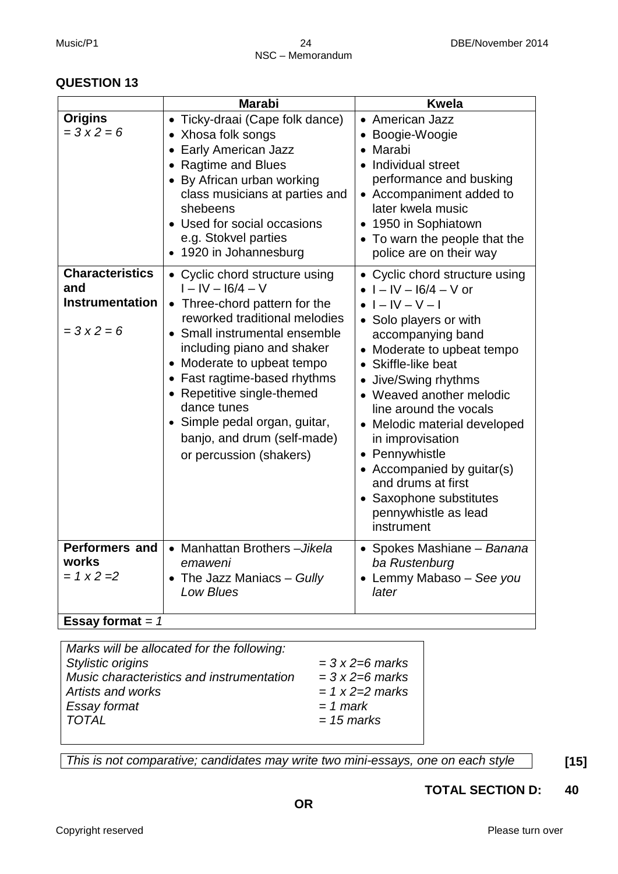|                                                                            | <b>Marabi</b>                                                                                                                                                                                                                                                                                                                                                                          | <b>Kwela</b>                                                                                                                                                                                                                                                                                                                                                                                                                                                      |
|----------------------------------------------------------------------------|----------------------------------------------------------------------------------------------------------------------------------------------------------------------------------------------------------------------------------------------------------------------------------------------------------------------------------------------------------------------------------------|-------------------------------------------------------------------------------------------------------------------------------------------------------------------------------------------------------------------------------------------------------------------------------------------------------------------------------------------------------------------------------------------------------------------------------------------------------------------|
| <b>Origins</b><br>$= 3x2 = 6$                                              | • Ticky-draai (Cape folk dance)<br>• Xhosa folk songs<br>• Early American Jazz<br><b>Ragtime and Blues</b><br>• By African urban working<br>class musicians at parties and<br>shebeens<br>• Used for social occasions<br>e.g. Stokvel parties<br>• 1920 in Johannesburg                                                                                                                | • American Jazz<br>Boogie-Woogie<br>Marabi<br>Individual street<br>$\bullet$<br>performance and busking<br>• Accompaniment added to<br>later kwela music<br>• 1950 in Sophiatown<br>• To warn the people that the<br>police are on their way                                                                                                                                                                                                                      |
| <b>Characteristics</b><br>and<br><b>Instrumentation</b><br>$= 3x2 = 6$     | • Cyclic chord structure using<br>$I - IV - 16/4 - V$<br>Three-chord pattern for the<br>reworked traditional melodies<br>Small instrumental ensemble<br>including piano and shaker<br>Moderate to upbeat tempo<br>• Fast ragtime-based rhythms<br>• Repetitive single-themed<br>dance tunes<br>• Simple pedal organ, guitar,<br>banjo, and drum (self-made)<br>or percussion (shakers) | • Cyclic chord structure using<br>$\bullet$ $I - IV - 16/4 - V$ or<br>$I - IV - V - I$<br>• Solo players or with<br>accompanying band<br>• Moderate to upbeat tempo<br>• Skiffle-like beat<br>Jive/Swing rhythms<br>• Weaved another melodic<br>line around the vocals<br>• Melodic material developed<br>in improvisation<br>• Pennywhistle<br>• Accompanied by guitar(s)<br>and drums at first<br>• Saxophone substitutes<br>pennywhistle as lead<br>instrument |
| <b>Performers and</b><br>works<br>$= 1 x 2 = 2$<br><b>Essay format = 1</b> | • Manhattan Brothers - Jikela<br>emaweni<br>• The Jazz Maniacs - Gully<br><b>Low Blues</b>                                                                                                                                                                                                                                                                                             | • Spokes Mashiane - Banana<br>ba Rustenburg<br>• Lemmy Mabaso - See you<br>later                                                                                                                                                                                                                                                                                                                                                                                  |

| Marks will be allocated for the following: |                     |  |  |
|--------------------------------------------|---------------------|--|--|
| Stylistic origins                          | $=$ 3 x 2=6 marks   |  |  |
| Music characteristics and instrumentation  | $=$ 3 x 2=6 marks   |  |  |
| Artists and works                          | $= 1 x 2 = 2$ marks |  |  |
| Essay format                               | $= 1$ mark          |  |  |
| <b>TOTAL</b>                               | $= 15$ marks        |  |  |
|                                            |                     |  |  |

*This is not comparative; candidates may write two mini-essays, one on each style* **[15]**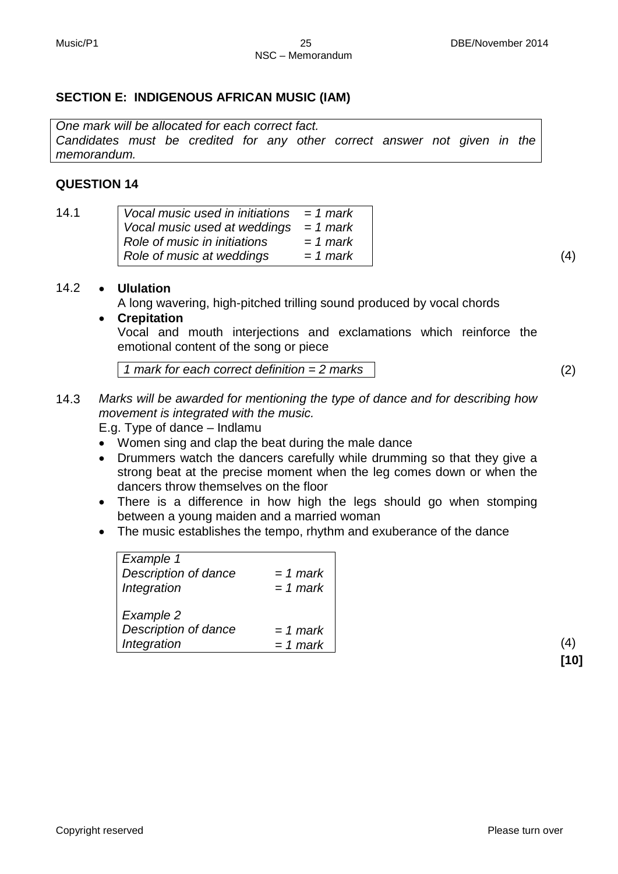#### **SECTION E: INDIGENOUS AFRICAN MUSIC (IAM)**

*One mark will be allocated for each correct fact. Candidates must be credited for any other correct answer not given in the memorandum.*

#### **QUESTION 14**

| 14.1 | Vocal music used in initiations $= 1$ mark |            |  |
|------|--------------------------------------------|------------|--|
|      | Vocal music used at weddings $= 1$ mark    |            |  |
|      | Role of music in initiations               | = 1 mark   |  |
|      | Role of music at weddings                  | $= 1$ mark |  |

#### 14.2 • **Ululation**

A long wavering, high-pitched trilling sound produced by vocal chords

• **Crepitation** Vocal and mouth interjections and exclamations which reinforce the emotional content of the song or piece

*1 mark for each correct definition = 2 marks* (2)

14.3 *Marks will be awarded for mentioning the type of dance and for describing how movement is integrated with the music.*

E.g. Type of dance – Indlamu

- Women sing and clap the beat during the male dance
- Drummers watch the dancers carefully while drumming so that they give a strong beat at the precise moment when the leg comes down or when the dancers throw themselves on the floor
- There is a difference in how high the legs should go when stomping between a young maiden and a married woman
- The music establishes the tempo, rhythm and exuberance of the dance

| Description of dance<br>Integration | $= 1$ mark<br>$= 1$ mark |
|-------------------------------------|--------------------------|
| Example 2                           |                          |
| Description of dance                | $= 1$ mark               |
| Integration                         | $= 1$ mark               |

**[10]**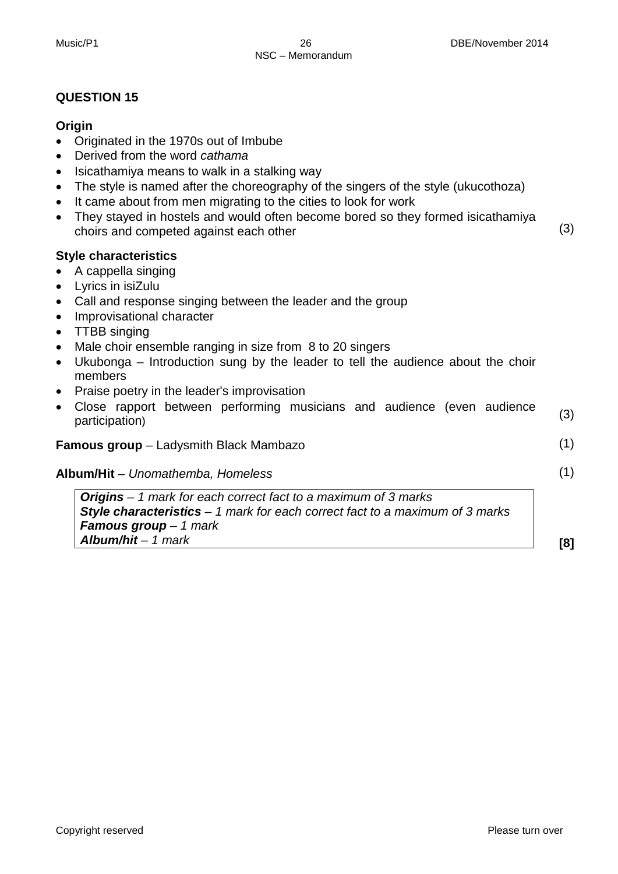#### **Origin**

- Originated in the 1970s out of Imbube
- Derived from the word *cathama*
- Isicathamiya means to walk in a stalking way
- The style is named after the choreography of the singers of the style (ukucothoza)
- It came about from men migrating to the cities to look for work
- They stayed in hostels and would often become bored so they formed isicathamiya choirs and competed against each other

#### **Style characteristics**

- A cappella singing
- Lyrics in isiZulu
- Call and response singing between the leader and the group
- Improvisational character
- TTBB singing
- Male choir ensemble ranging in size from 8 to 20 singers
- Ukubonga Introduction sung by the leader to tell the audience about the choir members
- Praise poetry in the leader's improvisation
- Close rapport between performing musicians and audience (even audience participation) (3)

#### **Famous group** – Ladysmith Black Mambazo

#### **Album/Hit** – *Unomathemba, Homeless*

*Origins – 1 mark for each correct fact to a maximum of 3 marks Style characteristics – 1 mark for each correct fact to a maximum of 3 marks Famous group – 1 mark Album/hit – 1 mark*

**[8]**

(1)

(1)

(3)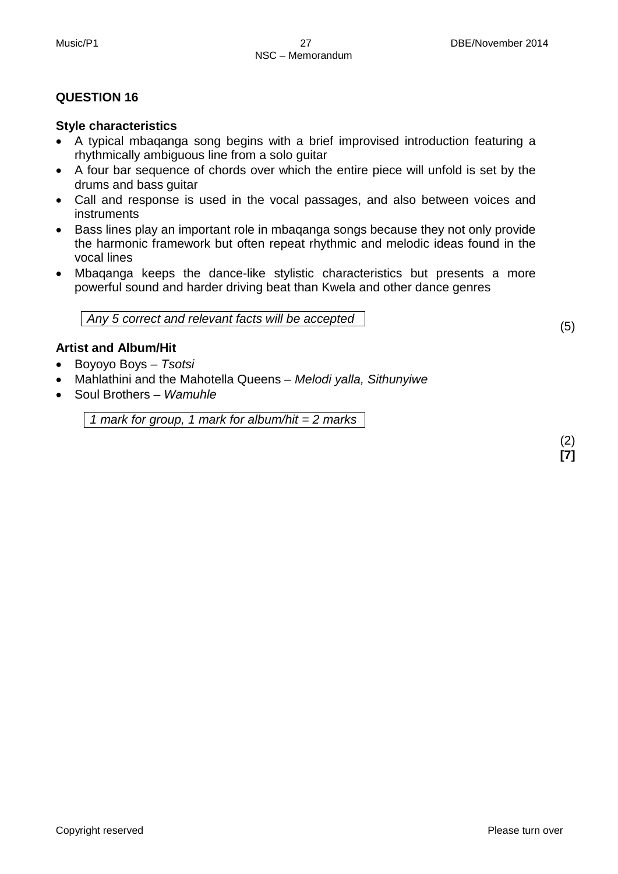#### **Style characteristics**

- A typical mbaqanga song begins with a brief improvised introduction featuring a rhythmically ambiguous line from a solo guitar
- A four bar sequence of chords over which the entire piece will unfold is set by the drums and bass guitar
- Call and response is used in the vocal passages, and also between voices and instruments
- Bass lines play an important role in mbaqanga songs because they not only provide the harmonic framework but often repeat rhythmic and melodic ideas found in the vocal lines
- Mbaqanga keeps the dance-like stylistic characteristics but presents a more powerful sound and harder driving beat than Kwela and other dance genres

*Any 5 correct and relevant facts will be accepted* 

#### **Artist and Album/Hit**

- Boyoyo Boys *– Tsotsi*
- Mahlathini and the Mahotella Queens *– Melodi yalla, Sithunyiwe*
- Soul Brothers *– Wamuhle*

*1 mark for group, 1 mark for album/hit = 2 marks*

(2) **[7]**

(5)